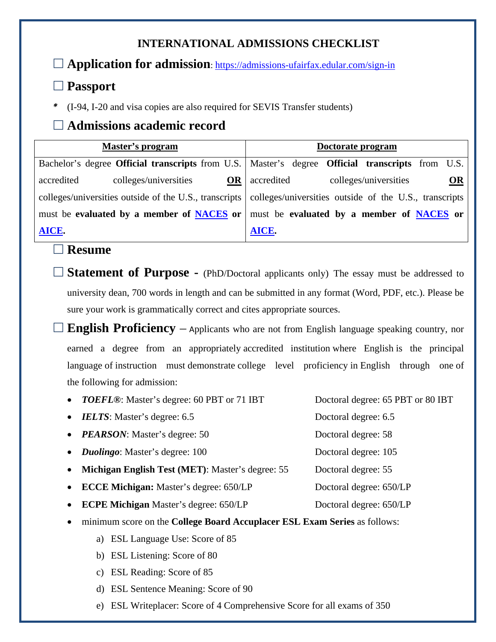## **INTERNATIONAL ADMISSIONS CHECKLIST**

**Application for admission**:<https://admissions-ufairfax.edular.com/sign-in>

## **Passport**

*\** (I-94, I-20 and visa copies are also required for SEVIS Transfer students)

# **Admissions academic record**

| Master's program                                                                                              | Doctorate program |                                           |  |  |                       |  |    |
|---------------------------------------------------------------------------------------------------------------|-------------------|-------------------------------------------|--|--|-----------------------|--|----|
| Bachelor's degree Official transcripts from U.S.   Master's degree Official transcripts from U.S.             |                   |                                           |  |  |                       |  |    |
| colleges/universities<br>accredited                                                                           | OR                | accredited                                |  |  | colleges/universities |  | OR |
| colleges/universities outside of the U.S., transcripts colleges/universities outside of the U.S., transcripts |                   |                                           |  |  |                       |  |    |
| must be evaluated by a member of <b>NACES</b> or                                                              |                   | must be evaluated by a member of NACES or |  |  |                       |  |    |
| AICE.                                                                                                         |                   | AICE.                                     |  |  |                       |  |    |

### **Resume**

 **Statement of Purpose -** (PhD/Doctoral applicants only) The essay must be addressed to university dean, 700 words in length and can be submitted in any format (Word, PDF, etc.). Please be sure your work is grammatically correct and cites appropriate sources.

 **English Proficiency** – <sup>A</sup>pplicants who are not from English language speaking country, nor earned a degree from an appropriately accredited institution where English is the principal language of instruction must demonstrate college level proficiency in English through one of the following for admission:

| $\bullet$ | <b>TOEFL®:</b> Master's degree: 60 PBT or 71 IBT                          | Doctoral degree: 65 PBT or 80 IBT |  |  |  |  |
|-----------|---------------------------------------------------------------------------|-----------------------------------|--|--|--|--|
| $\bullet$ | <b>IELTS:</b> Master's degree: 6.5                                        | Doctoral degree: 6.5              |  |  |  |  |
| $\bullet$ | <b>PEARSON:</b> Master's degree: 50                                       | Doctoral degree: 58               |  |  |  |  |
| $\bullet$ | <i>Duolingo</i> : Master's degree: 100                                    | Doctoral degree: 105              |  |  |  |  |
| $\bullet$ | Michigan English Test (MET): Master's degree: 55                          | Doctoral degree: 55               |  |  |  |  |
| $\bullet$ | <b>ECCE Michigan:</b> Master's degree: 650/LP                             | Doctoral degree: 650/LP           |  |  |  |  |
| $\bullet$ | <b>ECPE Michigan Master's degree: 650/LP</b>                              | Doctoral degree: 650/LP           |  |  |  |  |
| $\bullet$ | minimum score on the College Board Accuplacer ESL Exam Series as follows: |                                   |  |  |  |  |

- a) ESL Language Use: Score of 85
- b) ESL Listening: Score of 80
- c) ESL Reading: Score of 85
- d) ESL Sentence Meaning: Score of 90
- e) ESL Writeplacer: Score of 4 Comprehensive Score for all exams of 350